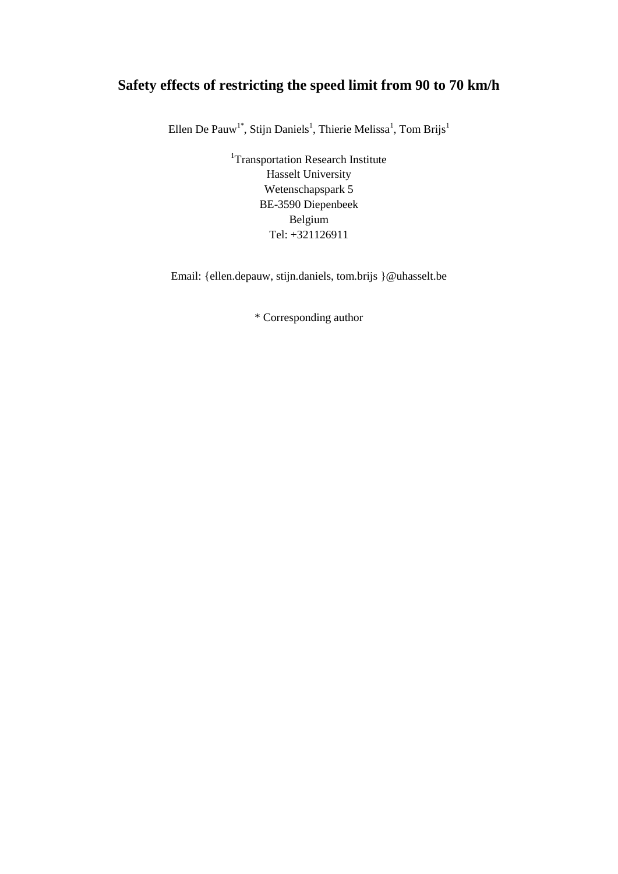# **Safety effects of restricting the speed limit from 90 to 70 km/h**

Ellen De Pauw<sup>1\*</sup>, Stijn Daniels<sup>1</sup>, Thierie Melissa<sup>1</sup>, Tom Brijs<sup>1</sup>

<sup>1</sup>Transportation Research Institute Hasselt University Wetenschapspark 5 BE-3590 Diepenbeek Belgium Tel: +321126911

Email: {ellen.depauw, stijn.daniels, tom.brijs }@uhasselt.be

\* Corresponding author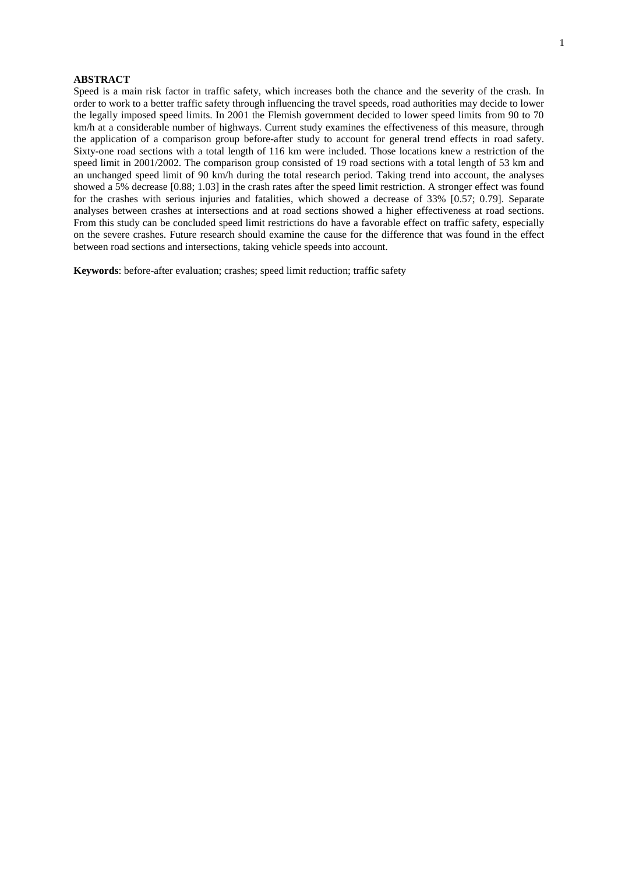# **ABSTRACT**

Speed is a main risk factor in traffic safety, which increases both the chance and the severity of the crash. In order to work to a better traffic safety through influencing the travel speeds, road authorities may decide to lower the legally imposed speed limits. In 2001 the Flemish government decided to lower speed limits from 90 to 70 km/h at a considerable number of highways. Current study examines the effectiveness of this measure, through the application of a comparison group before-after study to account for general trend effects in road safety. Sixty-one road sections with a total length of 116 km were included. Those locations knew a restriction of the speed limit in 2001/2002. The comparison group consisted of 19 road sections with a total length of 53 km and an unchanged speed limit of 90 km/h during the total research period. Taking trend into account, the analyses showed a 5% decrease [0.88; 1.03] in the crash rates after the speed limit restriction. A stronger effect was found for the crashes with serious injuries and fatalities, which showed a decrease of 33% [0.57; 0.79]. Separate analyses between crashes at intersections and at road sections showed a higher effectiveness at road sections. From this study can be concluded speed limit restrictions do have a favorable effect on traffic safety, especially on the severe crashes. Future research should examine the cause for the difference that was found in the effect between road sections and intersections, taking vehicle speeds into account.

**Keywords**: before-after evaluation; crashes; speed limit reduction; traffic safety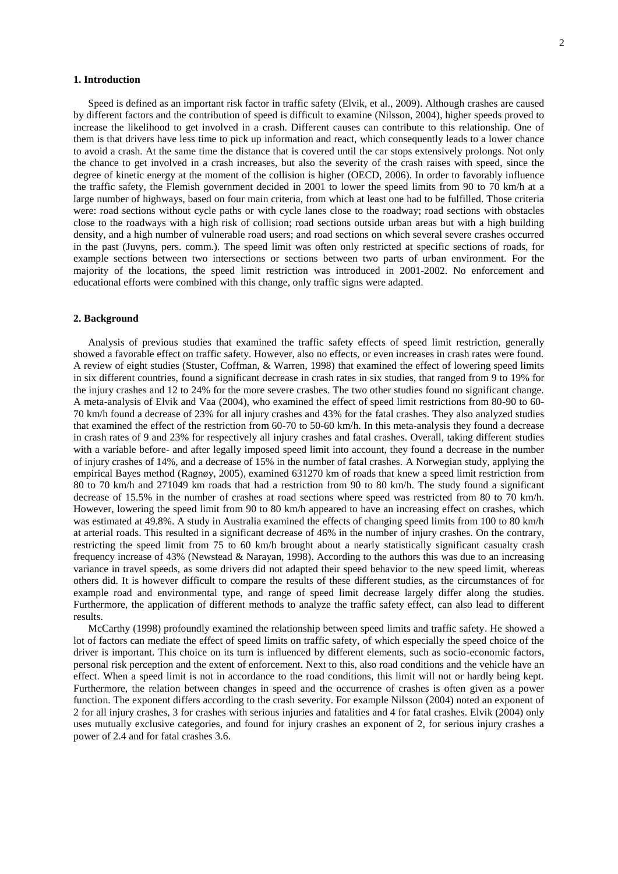# **1. Introduction**

Speed is defined as an important risk factor in traffic safety (Elvik, et al., 2009). Although crashes are caused by different factors and the contribution of speed is difficult to examine (Nilsson, 2004), higher speeds proved to increase the likelihood to get involved in a crash. Different causes can contribute to this relationship. One of them is that drivers have less time to pick up information and react, which consequently leads to a lower chance to avoid a crash. At the same time the distance that is covered until the car stops extensively prolongs. Not only the chance to get involved in a crash increases, but also the severity of the crash raises with speed, since the degree of kinetic energy at the moment of the collision is higher (OECD, 2006). In order to favorably influence the traffic safety, the Flemish government decided in 2001 to lower the speed limits from 90 to 70 km/h at a large number of highways, based on four main criteria, from which at least one had to be fulfilled. Those criteria were: road sections without cycle paths or with cycle lanes close to the roadway; road sections with obstacles close to the roadways with a high risk of collision; road sections outside urban areas but with a high building density, and a high number of vulnerable road users; and road sections on which several severe crashes occurred in the past (Juvyns, pers. comm.). The speed limit was often only restricted at specific sections of roads, for example sections between two intersections or sections between two parts of urban environment. For the majority of the locations, the speed limit restriction was introduced in 2001-2002. No enforcement and educational efforts were combined with this change, only traffic signs were adapted.

#### **2. Background**

Analysis of previous studies that examined the traffic safety effects of speed limit restriction, generally showed a favorable effect on traffic safety. However, also no effects, or even increases in crash rates were found. A review of eight studies (Stuster, Coffman, & Warren, 1998) that examined the effect of lowering speed limits in six different countries, found a significant decrease in crash rates in six studies, that ranged from 9 to 19% for the injury crashes and 12 to 24% for the more severe crashes. The two other studies found no significant change. A meta-analysis of Elvik and Vaa (2004), who examined the effect of speed limit restrictions from 80-90 to 60- 70 km/h found a decrease of 23% for all injury crashes and 43% for the fatal crashes. They also analyzed studies that examined the effect of the restriction from 60-70 to 50-60 km/h. In this meta-analysis they found a decrease in crash rates of 9 and 23% for respectively all injury crashes and fatal crashes. Overall, taking different studies with a variable before- and after legally imposed speed limit into account, they found a decrease in the number of injury crashes of 14%, and a decrease of 15% in the number of fatal crashes. A Norwegian study, applying the empirical Bayes method (Ragnøy, 2005), examined 631270 km of roads that knew a speed limit restriction from 80 to 70 km/h and 271049 km roads that had a restriction from 90 to 80 km/h. The study found a significant decrease of 15.5% in the number of crashes at road sections where speed was restricted from 80 to 70 km/h. However, lowering the speed limit from 90 to 80 km/h appeared to have an increasing effect on crashes, which was estimated at 49.8%. A study in Australia examined the effects of changing speed limits from 100 to 80 km/h at arterial roads. This resulted in a significant decrease of 46% in the number of injury crashes. On the contrary, restricting the speed limit from 75 to 60 km/h brought about a nearly statistically significant casualty crash frequency increase of 43% (Newstead & Narayan, 1998). According to the authors this was due to an increasing variance in travel speeds, as some drivers did not adapted their speed behavior to the new speed limit, whereas others did. It is however difficult to compare the results of these different studies, as the circumstances of for example road and environmental type, and range of speed limit decrease largely differ along the studies. Furthermore, the application of different methods to analyze the traffic safety effect, can also lead to different results.

McCarthy (1998) profoundly examined the relationship between speed limits and traffic safety. He showed a lot of factors can mediate the effect of speed limits on traffic safety, of which especially the speed choice of the driver is important. This choice on its turn is influenced by different elements, such as socio-economic factors, personal risk perception and the extent of enforcement. Next to this, also road conditions and the vehicle have an effect. When a speed limit is not in accordance to the road conditions, this limit will not or hardly being kept. Furthermore, the relation between changes in speed and the occurrence of crashes is often given as a power function. The exponent differs according to the crash severity. For example Nilsson (2004) noted an exponent of 2 for all injury crashes, 3 for crashes with serious injuries and fatalities and 4 for fatal crashes. Elvik (2004) only uses mutually exclusive categories, and found for injury crashes an exponent of 2, for serious injury crashes a power of 2.4 and for fatal crashes 3.6.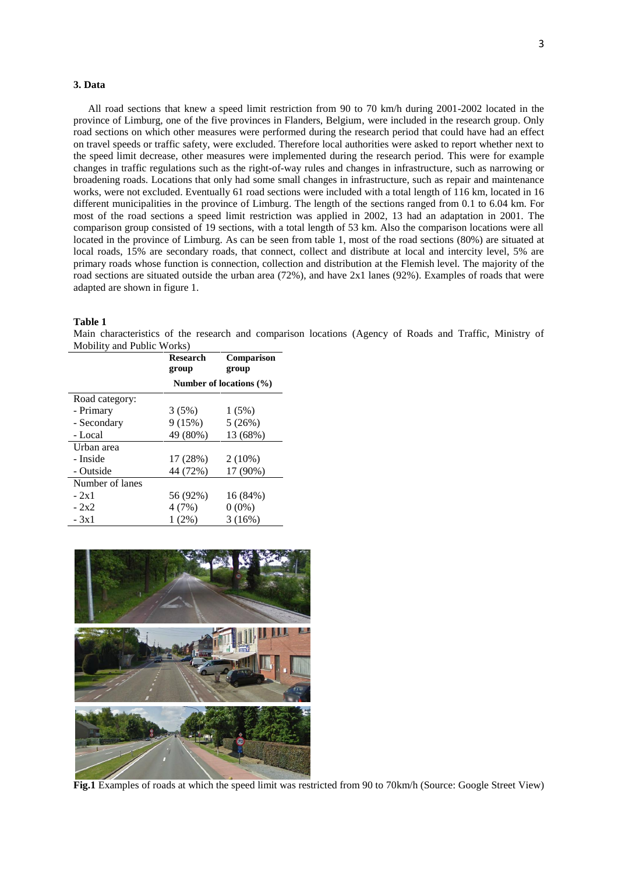# **3. Data**

3

All road sections that knew a speed limit restriction from 90 to 70 km/h during 2001-2002 located in the province of Limburg, one of the five provinces in Flanders, Belgium, were included in the research group. Only road sections on which other measures were performed during the research period that could have had an effect on travel speeds or traffic safety, were excluded. Therefore local authorities were asked to report whether next to the speed limit decrease, other measures were implemented during the research period. This were for example changes in traffic regulations such as the right-of-way rules and changes in infrastructure, such as narrowing or broadening roads. Locations that only had some small changes in infrastructure, such as repair and maintenance works, were not excluded. Eventually 61 road sections were included with a total length of 116 km, located in 16 different municipalities in the province of Limburg. The length of the sections ranged from 0.1 to 6.04 km. For most of the road sections a speed limit restriction was applied in 2002, 13 had an adaptation in 2001. The comparison group consisted of 19 sections, with a total length of 53 km. Also the comparison locations were all located in the province of Limburg. As can be seen from table 1, most of the road sections (80%) are situated at local roads, 15% are secondary roads, that connect, collect and distribute at local and intercity level, 5% are primary roads whose function is connection, collection and distribution at the Flemish level. The majority of the road sections are situated outside the urban area (72%), and have 2x1 lanes (92%). Examples of roads that were adapted are shown in figure 1.

### **Table 1**

Main characteristics of the research and comparison locations (Agency of Roads and Traffic, Ministry of Mobility and Public Works)

|                 | <b>Research</b><br>group    | <b>Comparison</b><br>group |  |
|-----------------|-----------------------------|----------------------------|--|
|                 | Number of locations $(\% )$ |                            |  |
| Road category:  |                             |                            |  |
| - Primary       | 3(5%)                       | 1(5%)                      |  |
| - Secondary     | 9(15%)                      | 5(26%)                     |  |
| - Local         | 49 (80%)                    | 13 (68%)                   |  |
| Urban area      |                             |                            |  |
| - Inside        | 17 (28%)                    | $2(10\%)$                  |  |
| - Outside       | 44 (72%)                    | 17 (90%)                   |  |
| Number of lanes |                             |                            |  |
| $-2x1$          | 56 (92%)                    | 16 (84%)                   |  |
| $-2x2$          | 4(7%)                       | $0(0\%)$                   |  |
| - 3x1           | 1(2%)                       | 3(16%)                     |  |



**Fig.1** Examples of roads at which the speed limit was restricted from 90 to 70km/h (Source: Google Street View)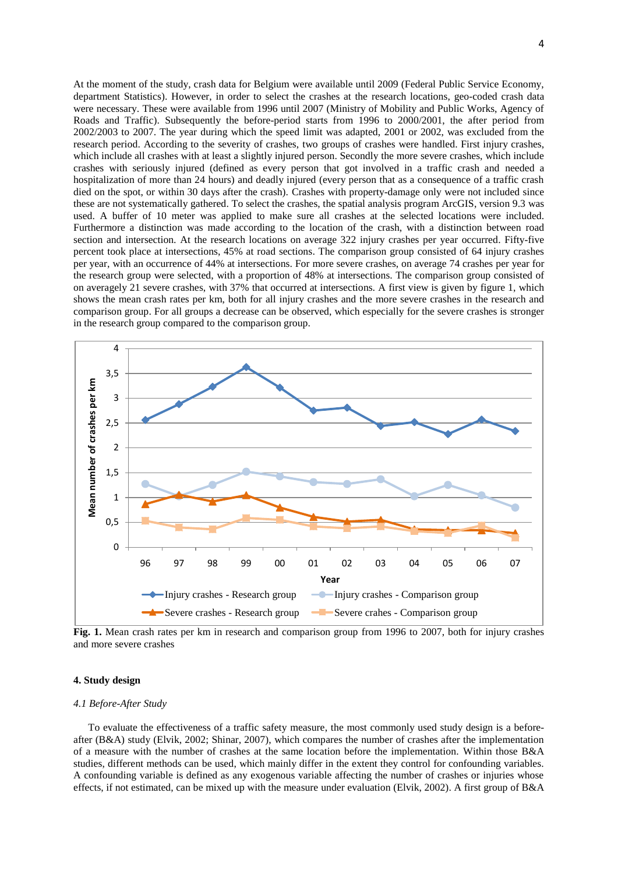At the moment of the study, crash data for Belgium were available until 2009 (Federal Public Service Economy, department Statistics). However, in order to select the crashes at the research locations, geo-coded crash data were necessary. These were available from 1996 until 2007 (Ministry of Mobility and Public Works, Agency of Roads and Traffic). Subsequently the before-period starts from 1996 to 2000/2001, the after period from 2002/2003 to 2007. The year during which the speed limit was adapted, 2001 or 2002, was excluded from the research period. According to the severity of crashes, two groups of crashes were handled. First injury crashes, which include all crashes with at least a slightly injured person. Secondly the more severe crashes, which include crashes with seriously injured (defined as every person that got involved in a traffic crash and needed a hospitalization of more than 24 hours) and deadly injured (every person that as a consequence of a traffic crash died on the spot, or within 30 days after the crash). Crashes with property-damage only were not included since these are not systematically gathered. To select the crashes, the spatial analysis program ArcGIS, version 9.3 was used. A buffer of 10 meter was applied to make sure all crashes at the selected locations were included. Furthermore a distinction was made according to the location of the crash, with a distinction between road section and intersection. At the research locations on average 322 injury crashes per year occurred. Fifty-five percent took place at intersections, 45% at road sections. The comparison group consisted of 64 injury crashes per year, with an occurrence of 44% at intersections. For more severe crashes, on average 74 crashes per year for the research group were selected, with a proportion of 48% at intersections. The comparison group consisted of on averagely 21 severe crashes, with 37% that occurred at intersections. A first view is given by figure 1, which shows the mean crash rates per km, both for all injury crashes and the more severe crashes in the research and comparison group. For all groups a decrease can be observed, which especially for the severe crashes is stronger in the research group compared to the comparison group.



**Fig. 1.** Mean crash rates per km in research and comparison group from 1996 to 2007, both for injury crashes and more severe crashes

# **4. Study design**

#### *4.1 Before-After Study*

To evaluate the effectiveness of a traffic safety measure, the most commonly used study design is a beforeafter (B&A) study (Elvik, 2002; Shinar, 2007), which compares the number of crashes after the implementation of a measure with the number of crashes at the same location before the implementation. Within those B&A studies, different methods can be used, which mainly differ in the extent they control for confounding variables. A confounding variable is defined as any exogenous variable affecting the number of crashes or injuries whose effects, if not estimated, can be mixed up with the measure under evaluation (Elvik, 2002). A first group of B&A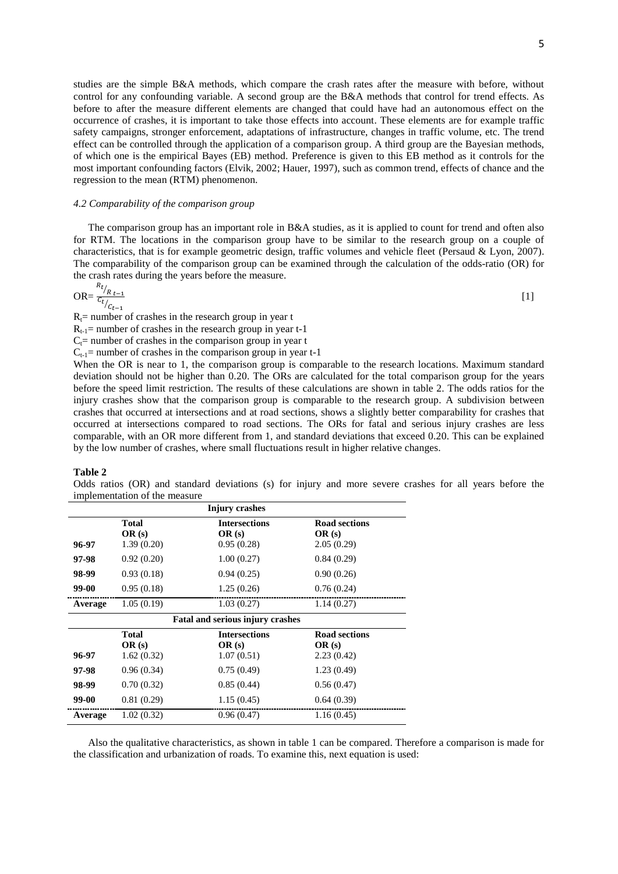studies are the simple B&A methods, which compare the crash rates after the measure with before, without control for any confounding variable. A second group are the B&A methods that control for trend effects. As before to after the measure different elements are changed that could have had an autonomous effect on the occurrence of crashes, it is important to take those effects into account. These elements are for example traffic safety campaigns, stronger enforcement, adaptations of infrastructure, changes in traffic volume, etc. The trend effect can be controlled through the application of a comparison group. A third group are the Bayesian methods, of which one is the empirical Bayes (EB) method. Preference is given to this EB method as it controls for the most important confounding factors (Elvik, 2002; Hauer, 1997), such as common trend, effects of chance and the regression to the mean (RTM) phenomenon.

#### *4.2 Comparability of the comparison group*

The comparison group has an important role in B&A studies, as it is applied to count for trend and often also for RTM. The locations in the comparison group have to be similar to the research group on a couple of characteristics, that is for example geometric design, traffic volumes and vehicle fleet (Persaud & Lyon, 2007). The comparability of the comparison group can be examined through the calculation of the odds-ratio (OR) for the crash rates during the years before the measure.

$$
OR = \frac{R_{t}}{C_{t}} \frac{R_{t-1}}{C_{t-1}}
$$

 $R_t$ = number of crashes in the research group in year t

 $R_{t-1}$ = number of crashes in the research group in year t-1

 $C<sub>t</sub>$  = number of crashes in the comparison group in year t

 $C_{t-1}$  = number of crashes in the comparison group in year t-1

When the OR is near to 1, the comparison group is comparable to the research locations. Maximum standard deviation should not be higher than 0.20. The ORs are calculated for the total comparison group for the years before the speed limit restriction. The results of these calculations are shown in table 2. The odds ratios for the injury crashes show that the comparison group is comparable to the research group. A subdivision between crashes that occurred at intersections and at road sections, shows a slightly better comparability for crashes that occurred at intersections compared to road sections. The ORs for fatal and serious injury crashes are less comparable, with an OR more different from 1, and standard deviations that exceed 0.20. This can be explained by the low number of crashes, where small fluctuations result in higher relative changes.

# **Table 2**

Odds ratios (OR) and standard deviations (s) for injury and more severe crashes for all years before the implementation of the measure

| Injury crashes |                                     |                                             |                                             |  |
|----------------|-------------------------------------|---------------------------------------------|---------------------------------------------|--|
| 96-97          | <b>Total</b><br>OR(s)<br>1.39(0.20) | <b>Intersections</b><br>OR(s)<br>0.95(0.28) | <b>Road sections</b><br>OR(s)<br>2.05(0.29) |  |
| 97-98          | 0.92(0.20)                          | 1.00(0.27)                                  | 0.84(0.29)                                  |  |
| 98-99          | 0.93(0.18)                          | 0.94(0.25)                                  | 0.90(0.26)                                  |  |
| 99-00          | 0.95(0.18)                          | 1.25(0.26)                                  | 0.76(0.24)                                  |  |
| Average        | 1.05(0.19)                          | 1.03(0.27)                                  | 1.14(0.27)                                  |  |
|                |                                     | <b>Fatal and serious injury crashes</b>     |                                             |  |
| 96-97          | <b>Total</b><br>OR(s)<br>1.62(0.32) | <b>Intersections</b><br>OR(s)<br>1.07(0.51) | <b>Road sections</b><br>OR(s)<br>2.23(0.42) |  |
| 97-98          | 0.96(0.34)                          | 0.75(0.49)                                  | 1.23(0.49)                                  |  |
| 98-99          | 0.70(0.32)                          | 0.85(0.44)                                  | 0.56(0.47)                                  |  |
| 99-00          | 0.81(0.29)                          | 1.15(0.45)                                  | 0.64(0.39)                                  |  |
| Average        | 1.02(0.32)                          | 0.96(0.47)                                  | 1.16(0.45)                                  |  |

Also the qualitative characteristics, as shown in table 1 can be compared. Therefore a comparison is made for the classification and urbanization of roads. To examine this, next equation is used: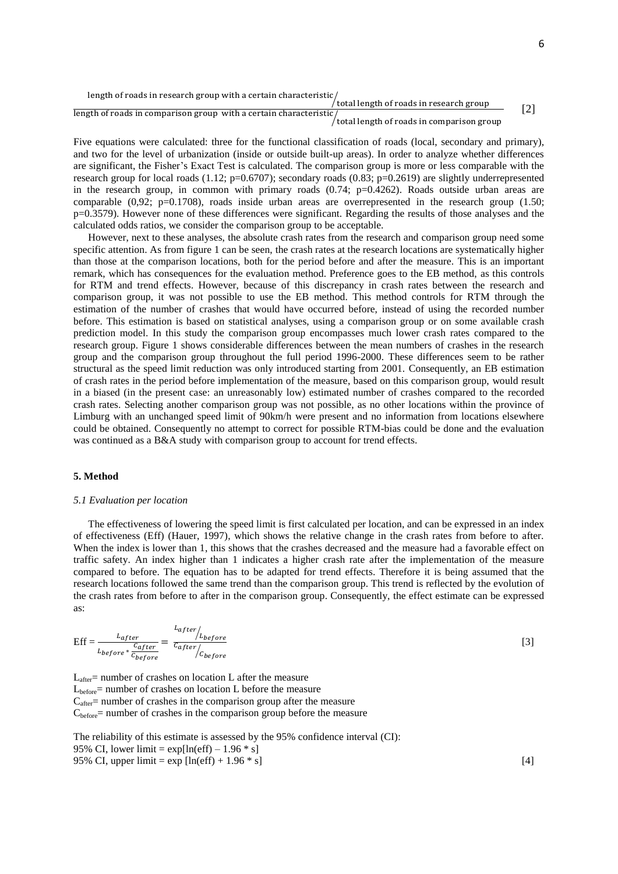length of roads in research group with a certain characteristic  $\ell$ total length of roads in research group

length of roads in comparison group with a certain characteristic  $\sqrt{\rm total}$  length of roads in comparison group [2]

Five equations were calculated: three for the functional classification of roads (local, secondary and primary), and two for the level of urbanization (inside or outside built-up areas). In order to analyze whether differences are significant, the Fisher's Exact Test is calculated. The comparison group is more or less comparable with the research group for local roads (1.12;  $p=0.6707$ ); secondary roads (0.83;  $p=0.2619$ ) are slightly underrepresented in the research group, in common with primary roads  $(0.74; p=0.4262)$ . Roads outside urban areas are comparable  $(0,92; p=0.1708)$ , roads inside urban areas are overrepresented in the research group  $(1.50;$ p=0.3579). However none of these differences were significant. Regarding the results of those analyses and the calculated odds ratios, we consider the comparison group to be acceptable.

However, next to these analyses, the absolute crash rates from the research and comparison group need some specific attention. As from figure 1 can be seen, the crash rates at the research locations are systematically higher than those at the comparison locations, both for the period before and after the measure. This is an important remark, which has consequences for the evaluation method. Preference goes to the EB method, as this controls for RTM and trend effects. However, because of this discrepancy in crash rates between the research and comparison group, it was not possible to use the EB method. This method controls for RTM through the estimation of the number of crashes that would have occurred before, instead of using the recorded number before. This estimation is based on statistical analyses, using a comparison group or on some available crash prediction model. In this study the comparison group encompasses much lower crash rates compared to the research group. Figure 1 shows considerable differences between the mean numbers of crashes in the research group and the comparison group throughout the full period 1996-2000. These differences seem to be rather structural as the speed limit reduction was only introduced starting from 2001. Consequently, an EB estimation of crash rates in the period before implementation of the measure, based on this comparison group, would result in a biased (in the present case: an unreasonably low) estimated number of crashes compared to the recorded crash rates. Selecting another comparison group was not possible, as no other locations within the province of Limburg with an unchanged speed limit of 90km/h were present and no information from locations elsewhere could be obtained. Consequently no attempt to correct for possible RTM-bias could be done and the evaluation was continued as a B&A study with comparison group to account for trend effects.

# **5. Method**

#### *5.1 Evaluation per location*

The effectiveness of lowering the speed limit is first calculated per location, and can be expressed in an index of effectiveness (Eff) (Hauer, 1997), which shows the relative change in the crash rates from before to after. When the index is lower than 1, this shows that the crashes decreased and the measure had a favorable effect on traffic safety. An index higher than 1 indicates a higher crash rate after the implementation of the measure compared to before. The equation has to be adapted for trend effects. Therefore it is being assumed that the research locations followed the same trend than the comparison group. This trend is reflected by the evolution of the crash rates from before to after in the comparison group. Consequently, the effect estimate can be expressed as:

$$
Eff = \frac{L_{after}}{L_{before} * \frac{c_{after}}{c_{before}}} = \frac{L_{after}}{c_{after}} / L_{before}
$$

[3]

 $L_{after}$  = number of crashes on location L after the measure  $L<sub>before</sub>$  number of crashes on location L before the measure  $C<sub>after</sub>$  = number of crashes in the comparison group after the measure  $C_{before}$  = number of crashes in the comparison group before the measure

The reliability of this estimate is assessed by the 95% confidence interval (CI): 95% CI, lower limit =  $\exp[\ln(\text{eff}) - 1.96 * s]$ 95% CI, upper limit =  $\exp \left[ \ln(\text{eff}) + 1.96 \cdot \text{s} \right]$  [4]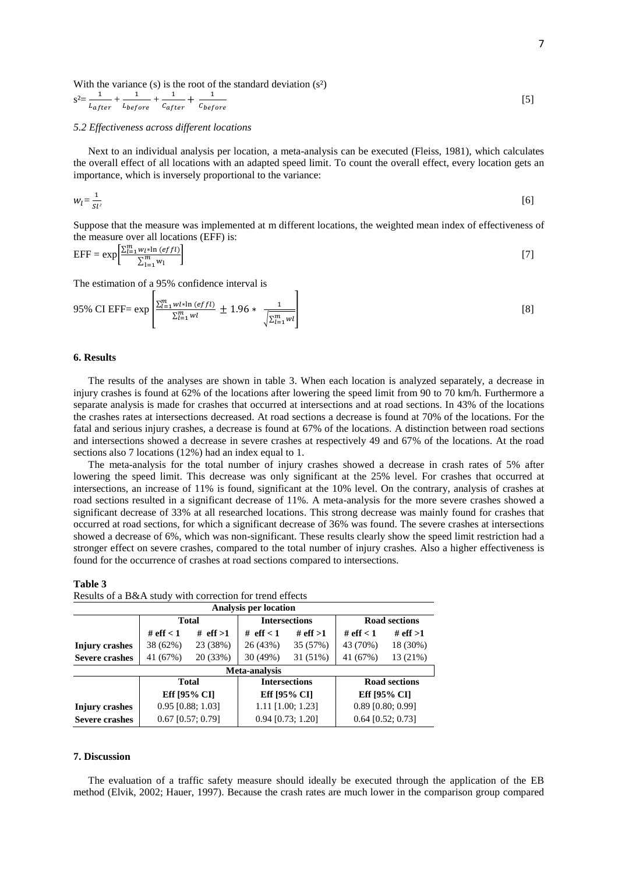With the variance (s) is the root of the standard deviation 
$$
(s^2)
$$

$$
s^2 = \frac{1}{L_{after}} + \frac{1}{L_{before}} + \frac{1}{C_{after}} + \frac{1}{C_{before}}
$$
 [5]

#### *5.2 Effectiveness across different locations*

Next to an individual analysis per location, a meta-analysis can be executed (Fleiss, 1981), which calculates the overall effect of all locations with an adapted speed limit. To count the overall effect, every location gets an importance, which is inversely proportional to the variance:

$$
w_l = \frac{1}{s_l^2} \tag{6}
$$

Suppose that the measure was implemented at m different locations, the weighted mean index of effectiveness of the measure over all locations (EFF) is:

$$
EFF = \exp\left[\frac{\sum_{l=1}^{m} w_l * \ln\left(effl\right)}{\sum_{l=1}^{m} w_l}\right]
$$
 [7]

The estimation of a 95% confidence interval is

95% CI EFF = exp 
$$
\left[ \frac{\sum_{l=1}^{m}wl * \ln (effl)}{\sum_{l=1}^{m}wl} \pm 1.96 * \frac{1}{\sqrt{\sum_{l=1}^{m}wl} \right]
$$
 [8]

# **6. Results**

The results of the analyses are shown in table 3. When each location is analyzed separately, a decrease in injury crashes is found at 62% of the locations after lowering the speed limit from 90 to 70 km/h. Furthermore a separate analysis is made for crashes that occurred at intersections and at road sections. In 43% of the locations the crashes rates at intersections decreased. At road sections a decrease is found at 70% of the locations. For the fatal and serious injury crashes, a decrease is found at 67% of the locations. A distinction between road sections and intersections showed a decrease in severe crashes at respectively 49 and 67% of the locations. At the road sections also 7 locations (12%) had an index equal to 1.

The meta-analysis for the total number of injury crashes showed a decrease in crash rates of 5% after lowering the speed limit. This decrease was only significant at the 25% level. For crashes that occurred at intersections, an increase of 11% is found, significant at the 10% level. On the contrary, analysis of crashes at road sections resulted in a significant decrease of 11%. A meta-analysis for the more severe crashes showed a significant decrease of 33% at all researched locations. This strong decrease was mainly found for crashes that occurred at road sections, for which a significant decrease of 36% was found. The severe crashes at intersections showed a decrease of 6%, which was non-significant. These results clearly show the speed limit restriction had a stronger effect on severe crashes, compared to the total number of injury crashes. Also a higher effectiveness is found for the occurrence of crashes at road sections compared to intersections.

| Table 3                                                  |  |
|----------------------------------------------------------|--|
| Results of a B&A study with correction for trend effects |  |

| <b>Analysis per location</b> |                     |                      |                      |                      |                     |              |
|------------------------------|---------------------|----------------------|----------------------|----------------------|---------------------|--------------|
|                              | <b>Total</b>        |                      | <b>Intersections</b> |                      | Road sections       |              |
|                              | # $eff < 1$         | # $eff >1$           | # $eff < 1$          | # eff $>1$           | # eff $< 1$         | # eff $>1$   |
| Injury crashes               | 38 (62%)            | 23 (38%)             | 26 (43%)             | 35 (57%)             | 43 (70%)            | 18 (30%)     |
| <b>Severe crashes</b>        | 41 (67%)            | 20 (33%)             | 30 (49%)             | 31 (51%)             | 41 (67%)            | 13 (21%)     |
| Meta-analysis                |                     |                      |                      |                      |                     |              |
| <b>Total</b>                 |                     | <b>Intersections</b> |                      | <b>Road sections</b> |                     |              |
|                              | Eff [95% CI]        |                      |                      | Eff [95% CI]         |                     | Eff [95% CI] |
| <b>Injury crashes</b>        | $0.95$ [0.88; 1.03] |                      |                      | $1.11$ [1.00; 1.23]  | $0.89$ [0.80; 0.99] |              |
| <b>Severe crashes</b>        | $0.67$ [0.57; 0.79] |                      |                      | $0.94$ [0.73; 1.20]  | $0.64$ [0.52; 0.73] |              |

#### **7. Discussion**

The evaluation of a traffic safety measure should ideally be executed through the application of the EB method (Elvik, 2002; Hauer, 1997). Because the crash rates are much lower in the comparison group compared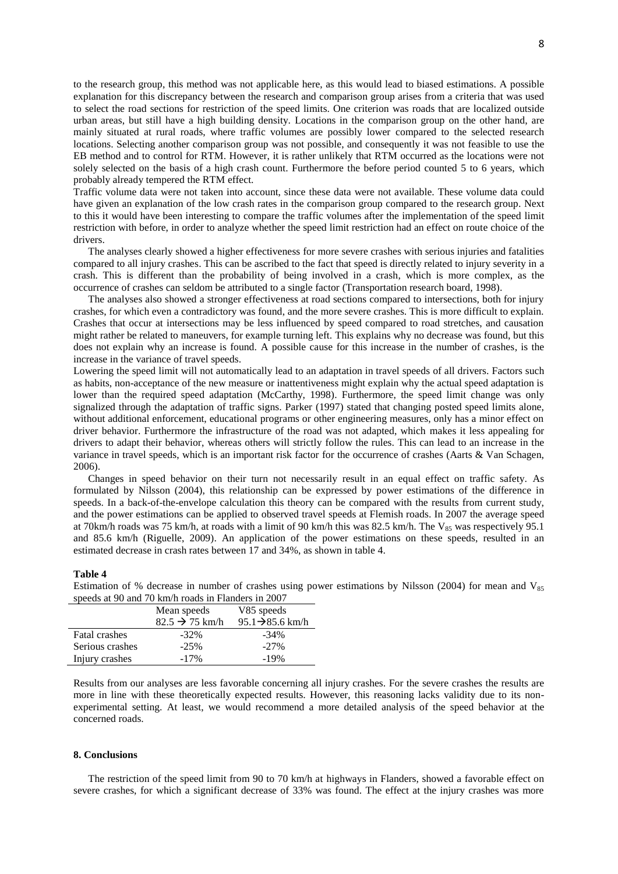to the research group, this method was not applicable here, as this would lead to biased estimations. A possible explanation for this discrepancy between the research and comparison group arises from a criteria that was used to select the road sections for restriction of the speed limits. One criterion was roads that are localized outside urban areas, but still have a high building density. Locations in the comparison group on the other hand, are mainly situated at rural roads, where traffic volumes are possibly lower compared to the selected research locations. Selecting another comparison group was not possible, and consequently it was not feasible to use the EB method and to control for RTM. However, it is rather unlikely that RTM occurred as the locations were not solely selected on the basis of a high crash count. Furthermore the before period counted 5 to 6 years, which probably already tempered the RTM effect.

Traffic volume data were not taken into account, since these data were not available. These volume data could have given an explanation of the low crash rates in the comparison group compared to the research group. Next to this it would have been interesting to compare the traffic volumes after the implementation of the speed limit restriction with before, in order to analyze whether the speed limit restriction had an effect on route choice of the drivers.

The analyses clearly showed a higher effectiveness for more severe crashes with serious injuries and fatalities compared to all injury crashes. This can be ascribed to the fact that speed is directly related to injury severity in a crash. This is different than the probability of being involved in a crash, which is more complex, as the occurrence of crashes can seldom be attributed to a single factor (Transportation research board, 1998).

The analyses also showed a stronger effectiveness at road sections compared to intersections, both for injury crashes, for which even a contradictory was found, and the more severe crashes. This is more difficult to explain. Crashes that occur at intersections may be less influenced by speed compared to road stretches, and causation might rather be related to maneuvers, for example turning left. This explains why no decrease was found, but this does not explain why an increase is found. A possible cause for this increase in the number of crashes, is the increase in the variance of travel speeds.

Lowering the speed limit will not automatically lead to an adaptation in travel speeds of all drivers. Factors such as habits, non-acceptance of the new measure or inattentiveness might explain why the actual speed adaptation is lower than the required speed adaptation (McCarthy, 1998). Furthermore, the speed limit change was only signalized through the adaptation of traffic signs. Parker (1997) stated that changing posted speed limits alone, without additional enforcement, educational programs or other engineering measures, only has a minor effect on driver behavior. Furthermore the infrastructure of the road was not adapted, which makes it less appealing for drivers to adapt their behavior, whereas others will strictly follow the rules. This can lead to an increase in the variance in travel speeds, which is an important risk factor for the occurrence of crashes (Aarts & Van Schagen, 2006).

Changes in speed behavior on their turn not necessarily result in an equal effect on traffic safety. As formulated by Nilsson (2004), this relationship can be expressed by power estimations of the difference in speeds. In a back-of-the-envelope calculation this theory can be compared with the results from current study, and the power estimations can be applied to observed travel speeds at Flemish roads. In 2007 the average speed at 70km/h roads was 75 km/h, at roads with a limit of 90 km/h this was 82.5 km/h. The  $V_{85}$  was respectively 95.1 and 85.6 km/h (Riguelle, 2009). An application of the power estimations on these speeds, resulted in an estimated decrease in crash rates between 17 and 34%, as shown in table 4.

#### **Table 4**

Estimation of % decrease in number of crashes using power estimations by Nilsson (2004) for mean and  $V_{ss}$ speeds at 90 and 70 km/h roads in Flanders in 2007

|                      | Mean speeds<br>$82.5 \rightarrow 75$ km/h | V85 speeds<br>$95.1 \rightarrow 85.6$ km/h |
|----------------------|-------------------------------------------|--------------------------------------------|
| <b>Fatal crashes</b> | $-32\%$                                   | $-34\%$                                    |
| Serious crashes      | $-25%$                                    | $-27\%$                                    |
| Injury crashes       | $-17\%$                                   | $-19%$                                     |

Results from our analyses are less favorable concerning all injury crashes. For the severe crashes the results are more in line with these theoretically expected results. However, this reasoning lacks validity due to its nonexperimental setting. At least, we would recommend a more detailed analysis of the speed behavior at the concerned roads.

# **8. Conclusions**

The restriction of the speed limit from 90 to 70 km/h at highways in Flanders, showed a favorable effect on severe crashes, for which a significant decrease of 33% was found. The effect at the injury crashes was more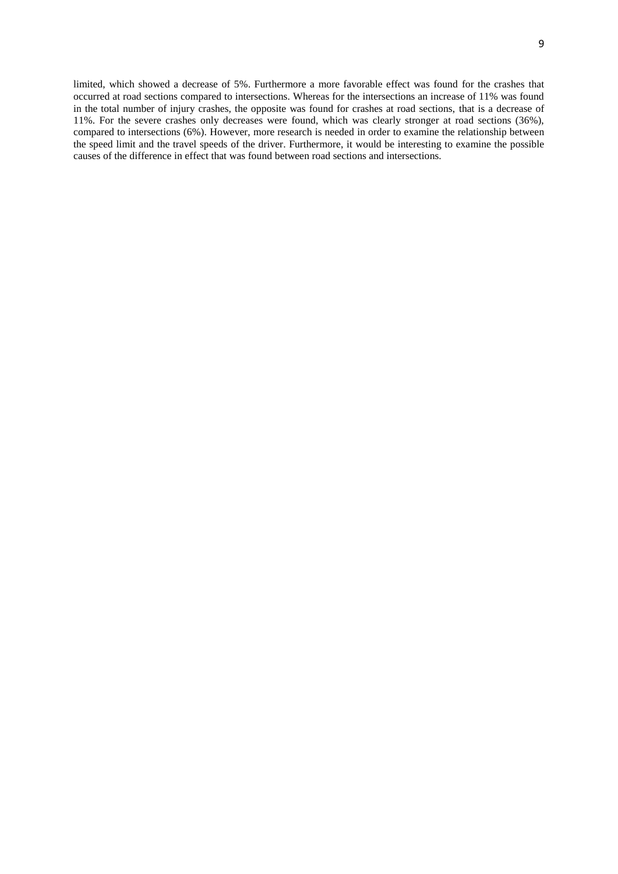limited, which showed a decrease of 5%. Furthermore a more favorable effect was found for the crashes that occurred at road sections compared to intersections. Whereas for the intersections an increase of 11% was found in the total number of injury crashes, the opposite was found for crashes at road sections, that is a decrease of 11%. For the severe crashes only decreases were found, which was clearly stronger at road sections (36%), compared to intersections (6%). However, more research is needed in order to examine the relationship between the speed limit and the travel speeds of the driver. Furthermore, it would be interesting to examine the possible causes of the difference in effect that was found between road sections and intersections.